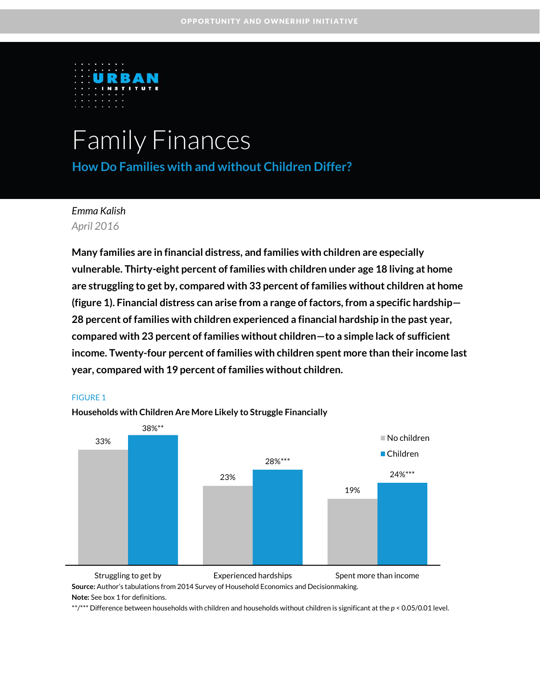

# Family Finances

**How Do Families with and without Children Differ?**

*Emma Kalish April 2016*

**Many families are in financial distress, and families with children are especially vulnerable. Thirty-eight percent of families with children under age 18 living at home are struggling to get by, compared with 33 percent of families without children at home (figure 1). Financial distress can arise from a range of factors, from a specific hardship— 28 percent of families with children experienced a financial hardship in the past year, compared with 23 percent of families without children—to a simple lack of sufficient income. Twenty-four percent of families with children spent more than their income last year, compared with 19 percent of families without children.**



#### FIGURE 1

**Source:** Author's tabulations from 2014 Survey of Household Economics and Decisionmaking. **Note:** See box 1 for definitions. Struggling to get by Experienced hardships Spent more than income

\*\*/\*\*\* Difference between households with children and households without children is significant at the *p* < 0.05/0.01 level.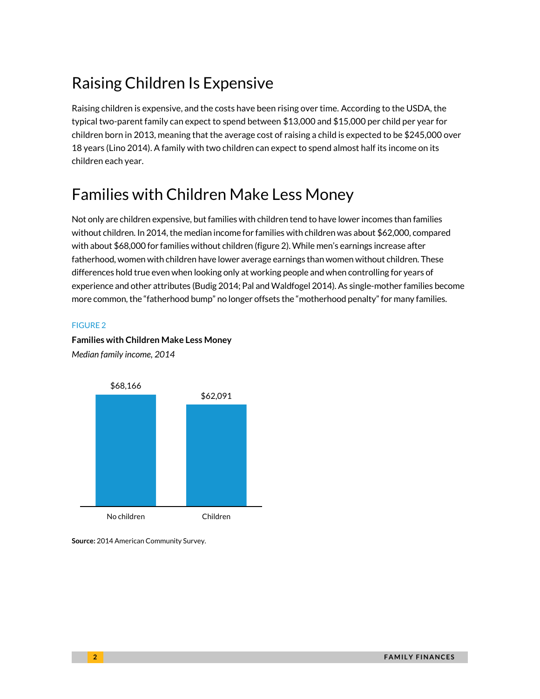# Raising Children Is Expensive

Raising children is expensive, and the costs have been rising over time. According to the USDA, the typical two-parent family can expect to spend between \$13,000 and \$15,000 per child per year for children born in 2013, meaning that the average cost of raising a child is expected to be \$245,000 over 18 years (Lino 2014). A family with two children can expect to spend almost half its income on its children each year.

### Families with Children Make Less Money

Not only are children expensive, but families with children tend to have lower incomes than families without children. In 2014, the median income for families with children was about \$62,000, compared with about \$68,000 for families without children (figure 2). While men's earnings increase after fatherhood, women with children have lower average earnings than women without children. These differences hold true even when looking only at working people and when controlling for years of experience and other attributes (Budig 2014; Pal and Waldfogel 2014). As single-mother families become more common, the "fatherhood bump" no longer offsets the "motherhood penalty" for many families.

#### FIGURE 2



**Families with Children Make Less Money** *Median family income, 2014*

**Source:** 2014 American Community Survey.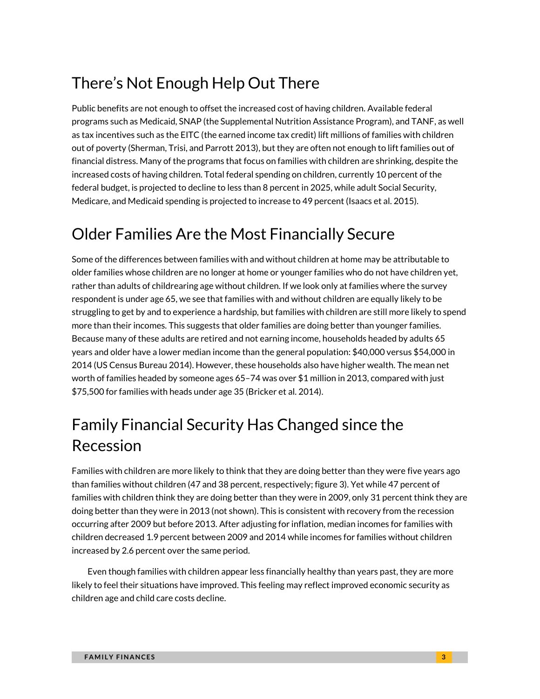# There's Not Enough Help Out There

Public benefits are not enough to offset the increased cost of having children. Available federal programs such as Medicaid, SNAP (the Supplemental Nutrition Assistance Program), and TANF, as well as tax incentives such as the EITC (the earned income tax credit) lift millions of families with children out of poverty (Sherman, Trisi, and Parrott 2013), but they are often not enough to lift families out of financial distress. Many of the programs that focus on families with children are shrinking, despite the increased costs of having children. Total federal spending on children, currently 10 percent of the federal budget, is projected to decline to less than 8 percent in 2025, while adult Social Security, Medicare, and Medicaid spending is projected to increase to 49 percent (Isaacs et al. 2015).

### Older Families Are the Most Financially Secure

Some of the differences between families with and without children at home may be attributable to older families whose children are no longer at home or younger families who do not have children yet, rather than adults of childrearing age without children. If we look only at families where the survey respondent is under age 65, we see that families with and without children are equally likely to be struggling to get by and to experience a hardship, but families with children are still more likely to spend more than their incomes. This suggests that older families are doing better than younger families. Because many of these adults are retired and not earning income, households headed by adults 65 years and older have a lower median income than the general population: \$40,000 versus \$54,000 in 2014 (US Census Bureau 2014). However, these households also have higher wealth. The mean net worth of families headed by someone ages 65–74 was over \$1 million in 2013, compared with just \$75,500 for families with heads under age 35 (Bricker et al. 2014).

# Family Financial Security Has Changed since the Recession

Families with children are more likely to think that they are doing better than they were five years ago than families without children (47 and 38 percent, respectively; figure 3). Yet while 47 percent of families with children think they are doing better than they were in 2009, only 31 percent think they are doing better than they were in 2013 (not shown). This is consistent with recovery from the recession occurring after 2009 but before 2013. After adjusting for inflation, median incomes for families with children decreased 1.9 percent between 2009 and 2014 while incomes for families without children increased by 2.6 percent over the same period.

Even though families with children appear less financially healthy than years past, they are more likely to feel their situations have improved. This feeling may reflect improved economic security as children age and child care costs decline.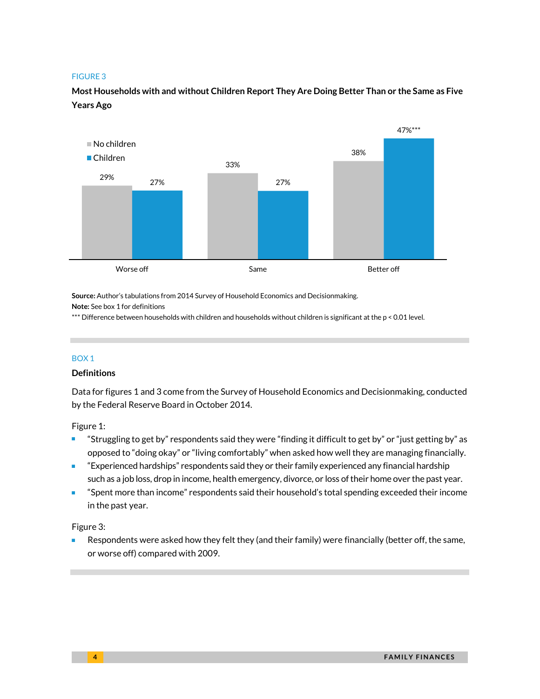#### FIGURE 3

**Most Households with and without Children Report They Are Doing Better Than or the Same as Five Years Ago** 



**Source:** Author's tabulations from 2014 Survey of Household Economics and Decisionmaking. **Note:** See box 1 for definitions

\*\*\* Difference between households with children and households without children is significant at the p < 0.01 level.

#### BOX 1

#### **Definitions**

Data for figures 1 and 3 come from the Survey of Household Economics and Decisionmaking, conducted by the Federal Reserve Board in October 2014.

Figure 1:

- "Struggling to get by" respondents said they were "finding it difficult to get by" or "just getting by" as opposed to "doing okay" or "living comfortably" when asked how well they are managing financially.
- "Experienced hardships" respondents said they or their family experienced any financial hardship such as a job loss, drop in income, health emergency, divorce, or loss of their home over the past year.
- "Spent more than income" respondents said their household's total spending exceeded their income in the past year.

Figure 3:

 Respondents were asked how they felt they (and their family) were financially (better off, the same, or worse off) compared with 2009.